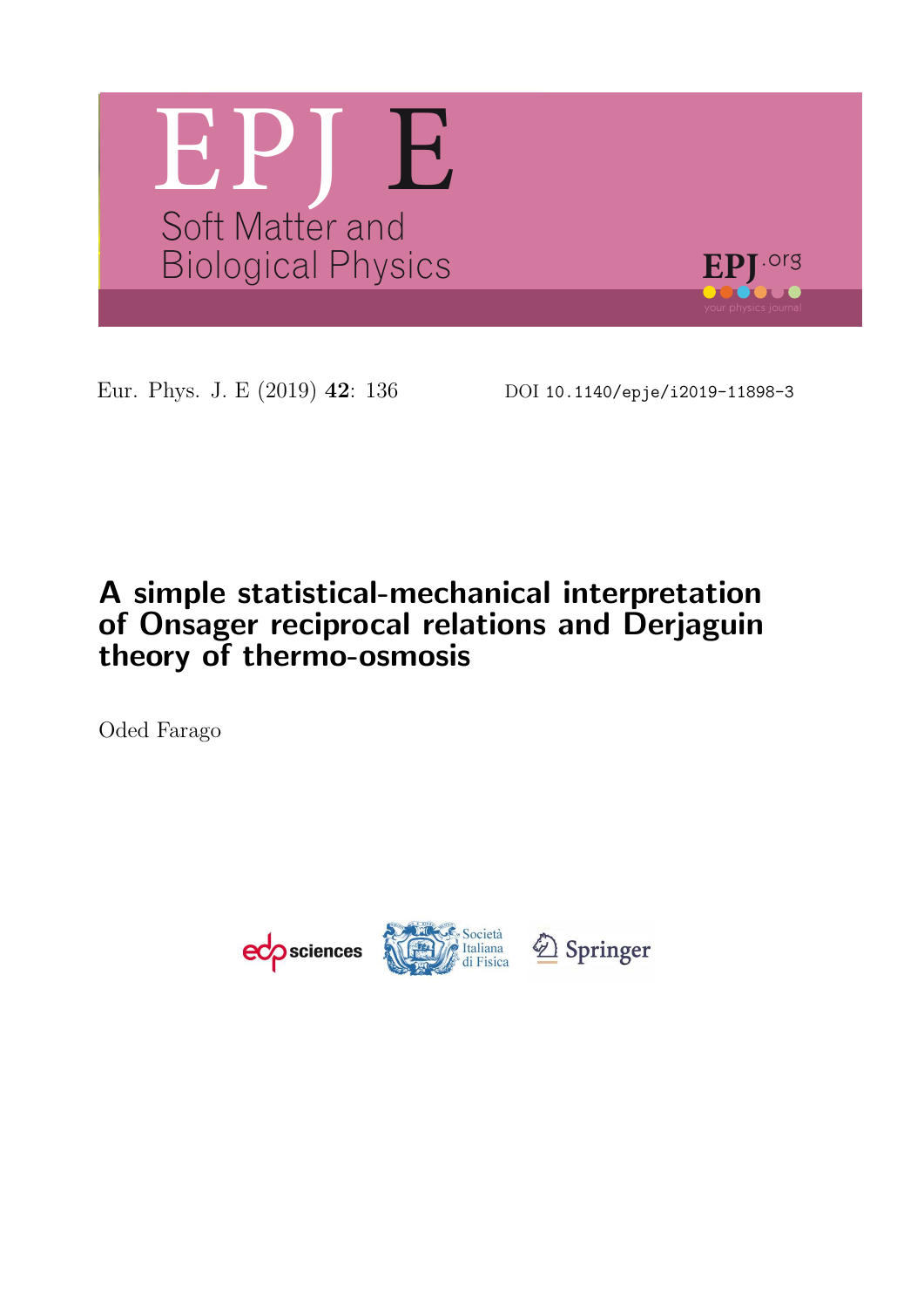

Eur. Phys. J. E (2019) 42: 136 DOI 10.1140/epje/i2019-11898-3

# A simple statistical-mechanical interpretation of Onsager reciprocal relations and Derjaguin theory of thermo-osmosis

Oded Farago

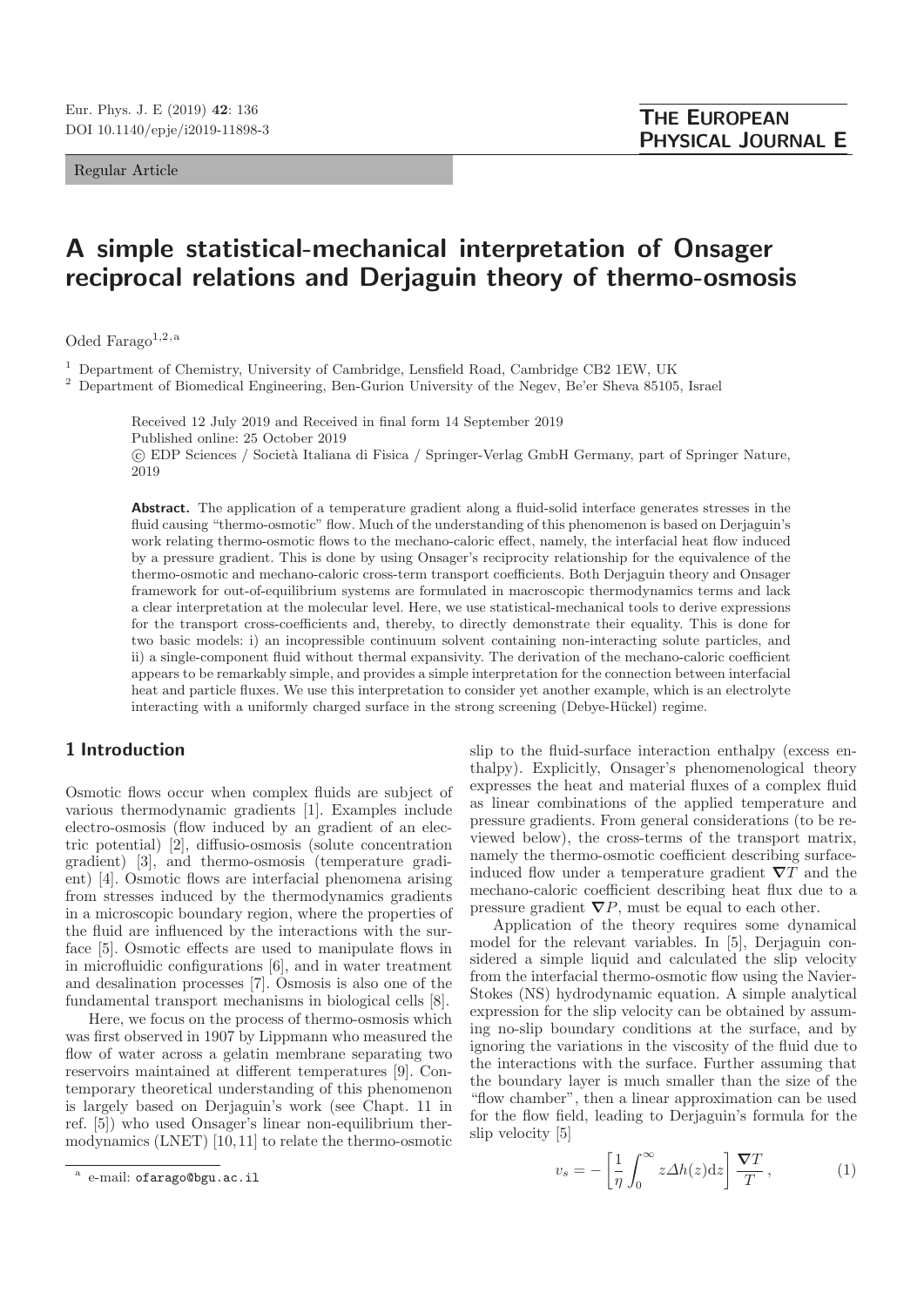Regular Article

# A simple statistical-mechanical interpretation of Onsager reciprocal relations and Derjaguin theory of thermo-osmosis

Oded Farago<sup>1,2,a</sup>

<sup>1</sup> Department of Chemistry, University of Cambridge, Lensfield Road, Cambridge CB2 1EW, UK

<sup>2</sup> Department of Biomedical Engineering, Ben-Gurion University of the Negev, Be'er Sheva 85105, Israel

Received 12 July 2019 and Received in final form 14 September 2019 Published online: 25 October 2019 -c EDP Sciences / Societ`a Italiana di Fisica / Springer-Verlag GmbH Germany, part of Springer Nature, 2019

Abstract. The application of a temperature gradient along a fluid-solid interface generates stresses in the fluid causing "thermo-osmotic" flow. Much of the understanding of this phenomenon is based on Derjaguin's work relating thermo-osmotic flows to the mechano-caloric effect, namely, the interfacial heat flow induced by a pressure gradient. This is done by using Onsager's reciprocity relationship for the equivalence of the thermo-osmotic and mechano-caloric cross-term transport coefficients. Both Derjaguin theory and Onsager framework for out-of-equilibrium systems are formulated in macroscopic thermodynamics terms and lack a clear interpretation at the molecular level. Here, we use statistical-mechanical tools to derive expressions for the transport cross-coefficients and, thereby, to directly demonstrate their equality. This is done for two basic models: i) an incopressible continuum solvent containing non-interacting solute particles, and ii) a single-component fluid without thermal expansivity. The derivation of the mechano-caloric coefficient appears to be remarkably simple, and provides a simple interpretation for the connection between interfacial heat and particle fluxes. We use this interpretation to consider yet another example, which is an electrolyte interacting with a uniformly charged surface in the strong screening (Debye-Hückel) regime.

## 1 Introduction

Osmotic flows occur when complex fluids are subject of various thermodynamic gradients [1]. Examples include electro-osmosis (flow induced by an gradient of an electric potential) [2], diffusio-osmosis (solute concentration gradient) [3], and thermo-osmosis (temperature gradient) [4]. Osmotic flows are interfacial phenomena arising from stresses induced by the thermodynamics gradients in a microscopic boundary region, where the properties of the fluid are influenced by the interactions with the surface [5]. Osmotic effects are used to manipulate flows in in microfluidic configurations [6], and in water treatment and desalination processes [7]. Osmosis is also one of the fundamental transport mechanisms in biological cells [8].

Here, we focus on the process of thermo-osmosis which was first observed in 1907 by Lippmann who measured the flow of water across a gelatin membrane separating two reservoirs maintained at different temperatures [9]. Contemporary theoretical understanding of this phenomenon is largely based on Derjaguin's work (see Chapt. 11 in ref. [5]) who used Onsager's linear non-equilibrium thermodynamics (LNET) [10, 11] to relate the thermo-osmotic

slip to the fluid-surface interaction enthalpy (excess enthalpy). Explicitly, Onsager's phenomenological theory expresses the heat and material fluxes of a complex fluid as linear combinations of the applied temperature and pressure gradients. From general considerations (to be reviewed below), the cross-terms of the transport matrix, namely the thermo-osmotic coefficient describing surfaceinduced flow under a temperature gradient  $\nabla T$  and the mechano-caloric coefficient describing heat flux due to a pressure gradient  $\nabla P$ , must be equal to each other.

Application of the theory requires some dynamical model for the relevant variables. In [5], Derjaguin considered a simple liquid and calculated the slip velocity from the interfacial thermo-osmotic flow using the Navier-Stokes (NS) hydrodynamic equation. A simple analytical expression for the slip velocity can be obtained by assuming no-slip boundary conditions at the surface, and by ignoring the variations in the viscosity of the fluid due to the interactions with the surface. Further assuming that the boundary layer is much smaller than the size of the "flow chamber", then a linear approximation can be used for the flow field, leading to Derjaguin's formula for the slip velocity [5]

$$
v_s = -\left[\frac{1}{\eta} \int_0^\infty z \Delta h(z) \mathrm{d}z\right] \frac{\nabla T}{T},\tag{1}
$$

a e-mail: ofarago@bgu.ac.il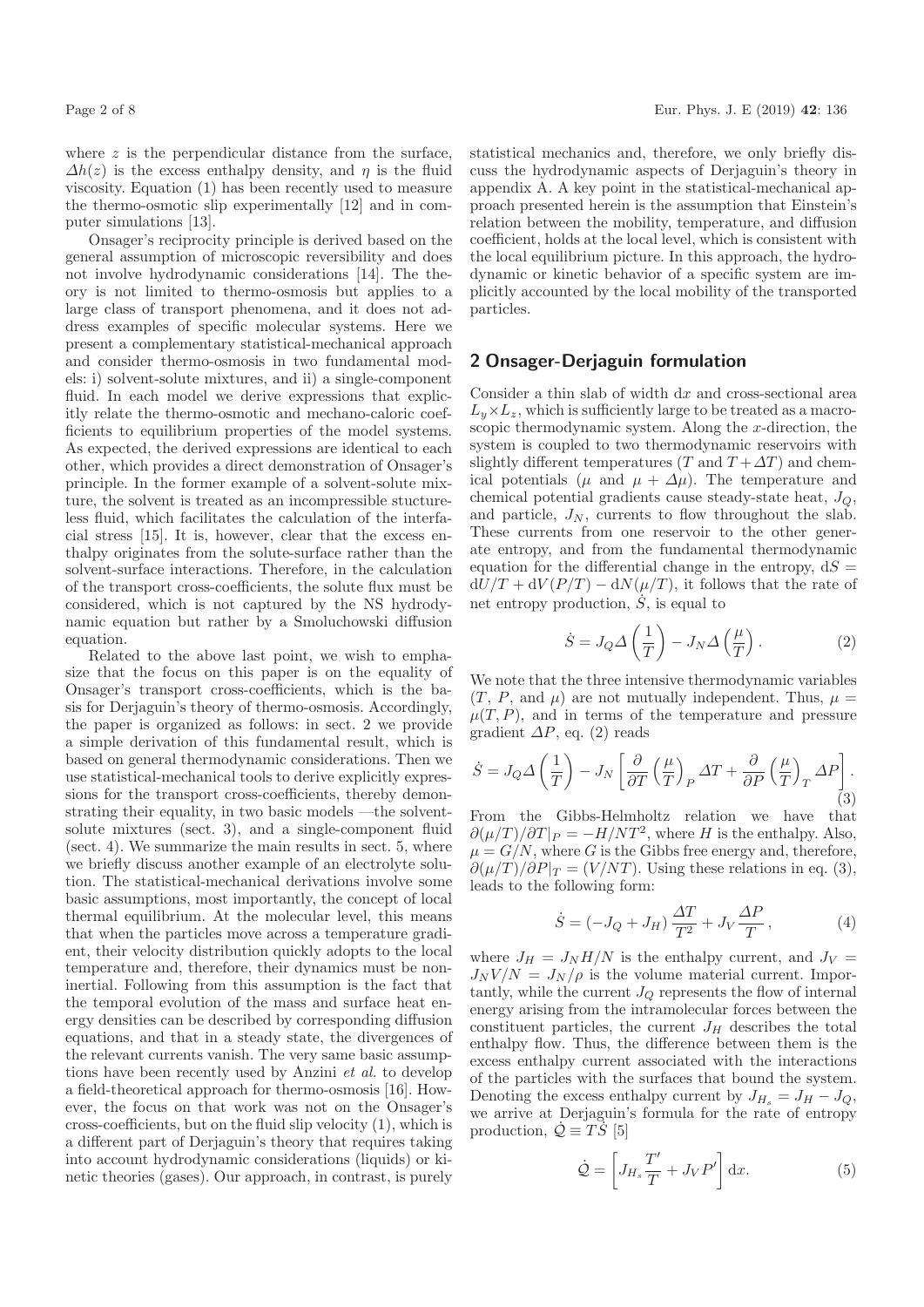where  $z$  is the perpendicular distance from the surface,  $\Delta h(z)$  is the excess enthalpy density, and  $\eta$  is the fluid viscosity. Equation (1) has been recently used to measure the thermo-osmotic slip experimentally [12] and in computer simulations [13].

Onsager's reciprocity principle is derived based on the general assumption of microscopic reversibility and does not involve hydrodynamic considerations [14]. The theory is not limited to thermo-osmosis but applies to a large class of transport phenomena, and it does not address examples of specific molecular systems. Here we present a complementary statistical-mechanical approach and consider thermo-osmosis in two fundamental models: i) solvent-solute mixtures, and ii) a single-component fluid. In each model we derive expressions that explicitly relate the thermo-osmotic and mechano-caloric coefficients to equilibrium properties of the model systems. As expected, the derived expressions are identical to each other, which provides a direct demonstration of Onsager's principle. In the former example of a solvent-solute mixture, the solvent is treated as an incompressible stuctureless fluid, which facilitates the calculation of the interfacial stress [15]. It is, however, clear that the excess enthalpy originates from the solute-surface rather than the solvent-surface interactions. Therefore, in the calculation of the transport cross-coefficients, the solute flux must be considered, which is not captured by the NS hydrodynamic equation but rather by a Smoluchowski diffusion equation.

Related to the above last point, we wish to emphasize that the focus on this paper is on the equality of Onsager's transport cross-coefficients, which is the basis for Derjaguin's theory of thermo-osmosis. Accordingly, the paper is organized as follows: in sect. 2 we provide a simple derivation of this fundamental result, which is based on general thermodynamic considerations. Then we use statistical-mechanical tools to derive explicitly expressions for the transport cross-coefficients, thereby demonstrating their equality, in two basic models —the solventsolute mixtures (sect. 3), and a single-component fluid (sect. 4). We summarize the main results in sect. 5, where we briefly discuss another example of an electrolyte solution. The statistical-mechanical derivations involve some basic assumptions, most importantly, the concept of local thermal equilibrium. At the molecular level, this means that when the particles move across a temperature gradient, their velocity distribution quickly adopts to the local temperature and, therefore, their dynamics must be noninertial. Following from this assumption is the fact that the temporal evolution of the mass and surface heat energy densities can be described by corresponding diffusion equations, and that in a steady state, the divergences of the relevant currents vanish. The very same basic assumptions have been recently used by Anzini et al. to develop a field-theoretical approach for thermo-osmosis [16]. However, the focus on that work was not on the Onsager's cross-coefficients, but on the fluid slip velocity (1), which is a different part of Derjaguin's theory that requires taking into account hydrodynamic considerations (liquids) or kinetic theories (gases). Our approach, in contrast, is purely

statistical mechanics and, therefore, we only briefly discuss the hydrodynamic aspects of Derjaguin's theory in appendix A. A key point in the statistical-mechanical approach presented herein is the assumption that Einstein's relation between the mobility, temperature, and diffusion coefficient, holds at the local level, which is consistent with the local equilibrium picture. In this approach, the hydrodynamic or kinetic behavior of a specific system are implicitly accounted by the local mobility of the transported particles.

#### 2 Onsager-Derjaguin formulation

Consider a thin slab of width  $dx$  and cross-sectional area  $L_y \times L_z$ , which is sufficiently large to be treated as a macroscopic thermodynamic system. Along the  $x$ -direction, the system is coupled to two thermodynamic reservoirs with slightly different temperatures (T and  $T + \Delta T$ ) and chemical potentials ( $\mu$  and  $\mu + \Delta \mu$ ). The temperature and chemical potential gradients cause steady-state heat,  $J_Q$ , and particle,  $J_N$ , currents to flow throughout the slab. These currents from one reservoir to the other generate entropy, and from the fundamental thermodynamic equation for the differential change in the entropy,  $dS =$  $dU/T + dV(P/T) - dN(\mu/T)$ , it follows that the rate of net entropy production,  $\dot{S}$ , is equal to

$$
\dot{S} = J_Q \Delta \left(\frac{1}{T}\right) - J_N \Delta \left(\frac{\mu}{T}\right). \tag{2}
$$

We note that the three intensive thermodynamic variables  $(T, P, \text{ and } \mu)$  are not mutually independent. Thus,  $\mu =$  $\mu(T, P)$ , and in terms of the temperature and pressure gradient  $\Delta P$ , eq. (2) reads

$$
\dot{S} = J_Q \Delta \left(\frac{1}{T}\right) - J_N \left[\frac{\partial}{\partial T} \left(\frac{\mu}{T}\right)_P \Delta T + \frac{\partial}{\partial P} \left(\frac{\mu}{T}\right)_T \Delta P\right].
$$
\n(3)

From the Gibbs-Helmholtz relation we have that  $\partial(\mu/T)/\partial T|_P = -H/NT^2$ , where H is the enthalpy. Also,  $\mu = G/N$ , where G is the Gibbs free energy and, therefore,  $\partial(\mu/T)/\partial P|_T = (V/NT)$ . Using these relations in eq. (3), leads to the following form:

$$
\dot{S} = \left(-J_Q + J_H\right) \frac{\Delta T}{T^2} + J_V \frac{\Delta P}{T},\tag{4}
$$

where  $J_H = J_N H/N$  is the enthalpy current, and  $J_V =$  $J_N V/N = J_N / \rho$  is the volume material current. Importantly, while the current  $J_Q$  represents the flow of internal energy arising from the intramolecular forces between the constituent particles, the current  $J_H$  describes the total enthalpy flow. Thus, the difference between them is the excess enthalpy current associated with the interactions of the particles with the surfaces that bound the system. Denoting the excess enthalpy current by  $J_{H_s} = J_H - J_Q$ , we arrive at Derjaguin's formula for the rate of entropy production,  $\dot{\mathcal{Q}} \equiv \dot{T} \dot{S}$  [5]

$$
\dot{\mathcal{Q}} = \left[ J_{H_s} \frac{T'}{T} + J_V P' \right] dx.
$$
\n(5)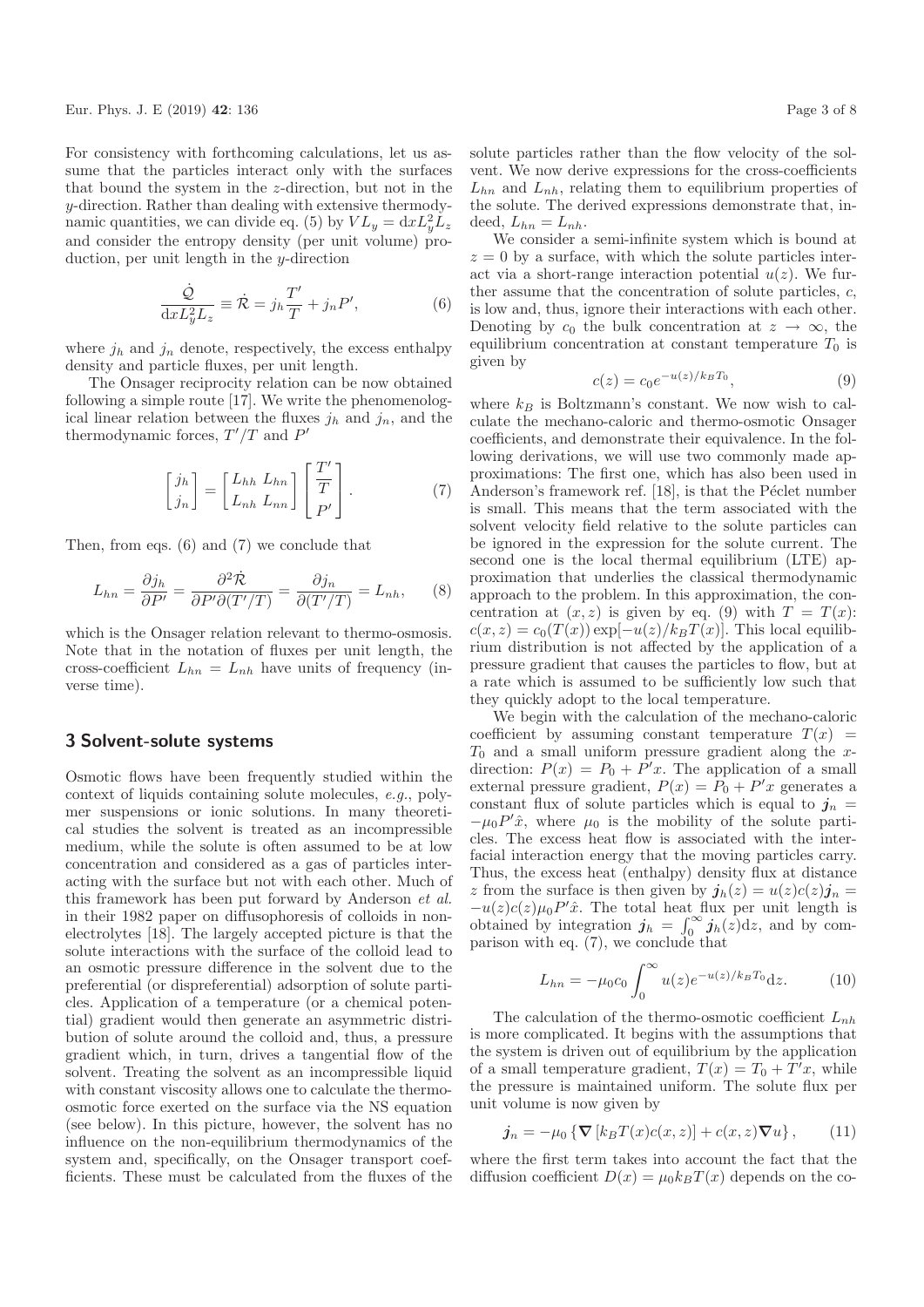Eur. Phys. J. E (2019) 42: 136 Page 3 of 8

For consistency with forthcoming calculations, let us assume that the particles interact only with the surfaces that bound the system in the z-direction, but not in the y-direction. Rather than dealing with extensive thermodynamic quantities, we can divide eq. (5) by  $VL_y = dx L_y^2 L_z$ and consider the entropy density (per unit volume) production, per unit length in the y-direction

$$
\frac{\dot{Q}}{\mathrm{d}x L_y^2 L_z} \equiv \dot{\mathcal{R}} = j_h \frac{T'}{T} + j_n P',\tag{6}
$$

where  $j_h$  and  $j_n$  denote, respectively, the excess enthalpy density and particle fluxes, per unit length.

The Onsager reciprocity relation can be now obtained following a simple route [17]. We write the phenomenological linear relation between the fluxes  $j_h$  and  $j_n$ , and the thermodynamic forces,  $T'/T$  and  $P'$ 

$$
\begin{bmatrix} j_h \\ j_n \end{bmatrix} = \begin{bmatrix} L_{hh} & L_{hn} \\ L_{nh} & L_{nn} \end{bmatrix} \begin{bmatrix} T' \\ T \\ P' \end{bmatrix} . \tag{7}
$$

Then, from eqs. (6) and (7) we conclude that

$$
L_{hn} = \frac{\partial j_h}{\partial P'} = \frac{\partial^2 \dot{\mathcal{R}}}{\partial P' \partial (T'/T)} = \frac{\partial j_n}{\partial (T'/T)} = L_{nh}, \qquad (8)
$$

which is the Onsager relation relevant to thermo-osmosis. Note that in the notation of fluxes per unit length, the cross-coefficient  $L_{hn} = L_{nh}$  have units of frequency (inverse time).

#### 3 Solvent-solute systems

Osmotic flows have been frequently studied within the context of liquids containing solute molecules, e.g., polymer suspensions or ionic solutions. In many theoretical studies the solvent is treated as an incompressible medium, while the solute is often assumed to be at low concentration and considered as a gas of particles interacting with the surface but not with each other. Much of this framework has been put forward by Anderson et al. in their 1982 paper on diffusophoresis of colloids in nonelectrolytes [18]. The largely accepted picture is that the solute interactions with the surface of the colloid lead to an osmotic pressure difference in the solvent due to the preferential (or dispreferential) adsorption of solute particles. Application of a temperature (or a chemical potential) gradient would then generate an asymmetric distribution of solute around the colloid and, thus, a pressure gradient which, in turn, drives a tangential flow of the solvent. Treating the solvent as an incompressible liquid with constant viscosity allows one to calculate the thermoosmotic force exerted on the surface via the NS equation (see below). In this picture, however, the solvent has no influence on the non-equilibrium thermodynamics of the system and, specifically, on the Onsager transport coefficients. These must be calculated from the fluxes of the

We consider a semi-infinite system which is bound at  $z = 0$  by a surface, with which the solute particles interact via a short-range interaction potential  $u(z)$ . We further assume that the concentration of solute particles, c, is low and, thus, ignore their interactions with each other. Denoting by  $c_0$  the bulk concentration at  $z \to \infty$ , the equilibrium concentration at constant temperature  $T_0$  is given by

$$
c(z) = c_0 e^{-u(z)/k_B T_0}, \t\t(9)
$$

where  $k_B$  is Boltzmann's constant. We now wish to calculate the mechano-caloric and thermo-osmotic Onsager coefficients, and demonstrate their equivalence. In the following derivations, we will use two commonly made approximations: The first one, which has also been used in Anderson's framework ref. [18], is that the Péclet number is small. This means that the term associated with the solvent velocity field relative to the solute particles can be ignored in the expression for the solute current. The second one is the local thermal equilibrium (LTE) approximation that underlies the classical thermodynamic approach to the problem. In this approximation, the concentration at  $(x, z)$  is given by eq. (9) with  $T = T(x)$ :  $c(x, z) = c_0(T(x)) \exp[-u(z)/k_B T(x)]$ . This local equilibrium distribution is not affected by the application of a pressure gradient that causes the particles to flow, but at a rate which is assumed to be sufficiently low such that they quickly adopt to the local temperature.

We begin with the calculation of the mechano-caloric coefficient by assuming constant temperature  $T(x)$  $T_0$  and a small uniform pressure gradient along the xdirection:  $P(x) = P_0 + P'x$ . The application of a small external pressure gradient,  $P(x) = P_0 + P'x$  generates a constant flux of solute particles which is equal to  $j_n =$  $-\mu_0 P' \hat{x}$ , where  $\mu_0$  is the mobility of the solute particles. The excess heat flow is associated with the interfacial interaction energy that the moving particles carry. Thus, the excess heat (enthalpy) density flux at distance z from the surface is then given by  $\mathbf{j}_h(z) = u(z)c(z)\mathbf{j}_n =$  $-u(z)c(z)\mu_0 P'x$ . The total heat flux per unit length is obtained by integration  $j_h = \int_0^\infty j_h(z) dz$ , and by comparison with eq.  $(7)$ , we conclude that

$$
L_{hn} = -\mu_0 c_0 \int_0^\infty u(z) e^{-u(z)/k_B T_0} dz.
$$
 (10)

The calculation of the thermo-osmotic coefficient  $L_{nh}$ is more complicated. It begins with the assumptions that the system is driven out of equilibrium by the application of a small temperature gradient,  $T(x) = T_0 + T'x$ , while the pressure is maintained uniform. The solute flux per unit volume is now given by

$$
\mathbf{j}_n = -\mu_0 \left\{ \mathbf{\nabla} \left[ k_B T(x) c(x, z) \right] + c(x, z) \mathbf{\nabla} u \right\},\qquad(11)
$$

where the first term takes into account the fact that the diffusion coefficient  $D(x) = \mu_0 k_B T(x)$  depends on the co-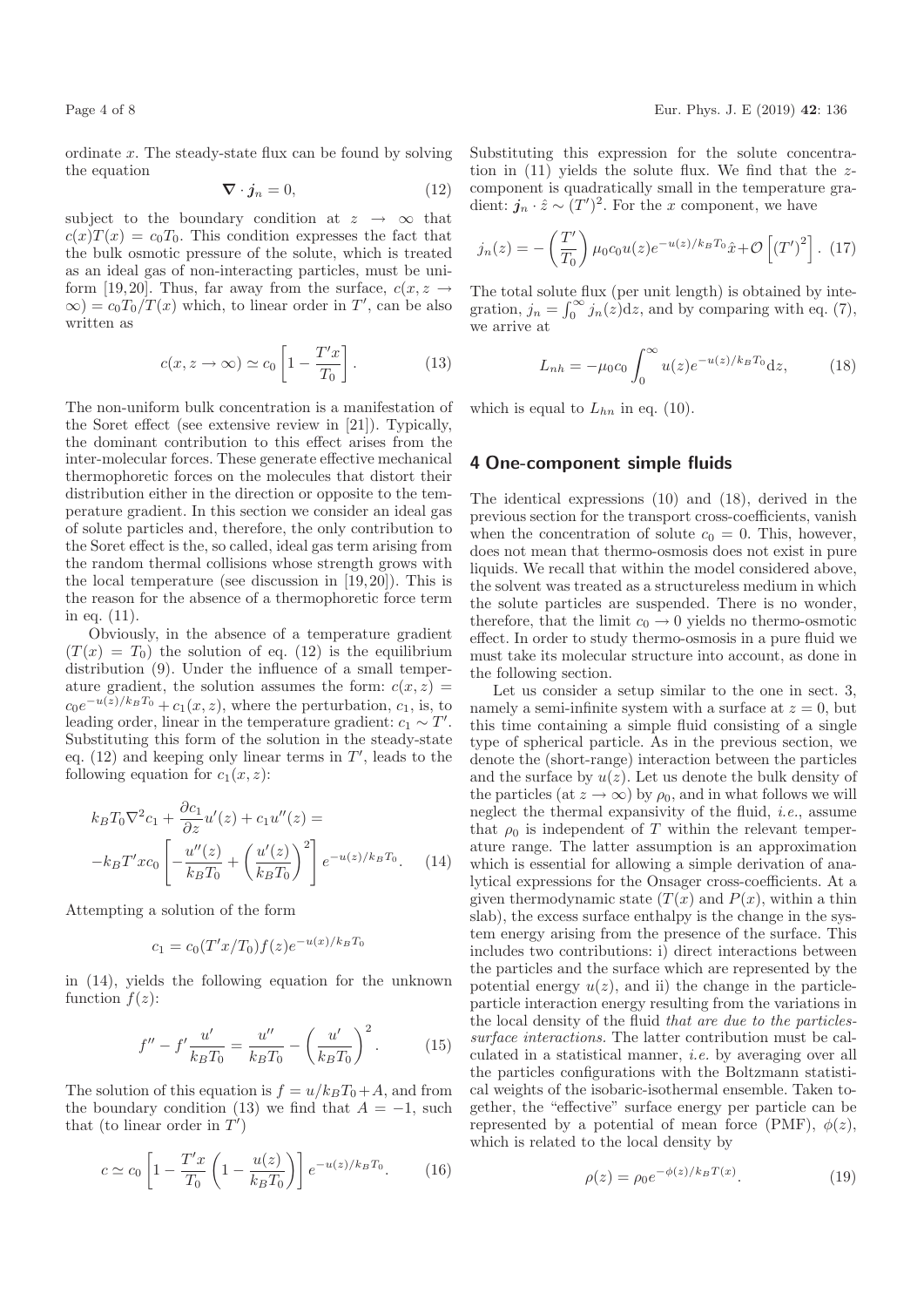ordinate x. The steady-state flux can be found by solving the equation

$$
\nabla \cdot \boldsymbol{j}_n = 0,\tag{12}
$$

subject to the boundary condition at  $z \rightarrow \infty$  that  $c(x)T(x) = c_0T_0$ . This condition expresses the fact that the bulk osmotic pressure of the solute, which is treated as an ideal gas of non-interacting particles, must be uniform [19,20]. Thus, far away from the surface,  $c(x, z \rightarrow z)$  $\infty$ ) =  $c_0 T_0/T(x)$  which, to linear order in T', can be also written as

$$
c(x, z \to \infty) \simeq c_0 \left[ 1 - \frac{T'x}{T_0} \right]. \tag{13}
$$

The non-uniform bulk concentration is a manifestation of the Soret effect (see extensive review in [21]). Typically, the dominant contribution to this effect arises from the inter-molecular forces. These generate effective mechanical thermophoretic forces on the molecules that distort their distribution either in the direction or opposite to the temperature gradient. In this section we consider an ideal gas of solute particles and, therefore, the only contribution to the Soret effect is the, so called, ideal gas term arising from the random thermal collisions whose strength grows with the local temperature (see discussion in [19, 20]). This is the reason for the absence of a thermophoretic force term in eq. (11).

Obviously, in the absence of a temperature gradient  $(T(x) = T_0)$  the solution of eq. (12) is the equilibrium distribution (9). Under the influence of a small temperature gradient, the solution assumes the form:  $c(x, z) =$  $c_0e^{-u(z)/k_BT_0}+c_1(x,z)$ , where the perturbation,  $c_1$ , is, to leading order, linear in the temperature gradient:  $c_1 \sim T'$ . Substituting this form of the solution in the steady-state eq.  $(12)$  and keeping only linear terms in  $T'$ , leads to the following equation for  $c_1(x, z)$ :

$$
k_B T_0 \nabla^2 c_1 + \frac{\partial c_1}{\partial z} u'(z) + c_1 u''(z) =
$$
  

$$
-k_B T' x c_0 \left[ -\frac{u''(z)}{k_B T_0} + \left( \frac{u'(z)}{k_B T_0} \right)^2 \right] e^{-u(z)/k_B T_0}.
$$
 (14)

Attempting a solution of the form

$$
c_1 = c_0 (T'x/T_0) f(z) e^{-u(x)/k_B T_0}
$$

in (14), yields the following equation for the unknown function  $f(z)$ :

$$
f'' - f'\frac{u'}{k_B T_0} = \frac{u''}{k_B T_0} - \left(\frac{u'}{k_B T_0}\right)^2.
$$
 (15)

The solution of this equation is  $f = u/k_BT_0+A$ , and from the boundary condition (13) we find that  $A = -1$ , such that (to linear order in  $T'$ )

$$
c \simeq c_0 \left[ 1 - \frac{T'x}{T_0} \left( 1 - \frac{u(z)}{k_B T_0} \right) \right] e^{-u(z)/k_B T_0}.
$$
 (16)

Substituting this expression for the solute concentration in  $(11)$  yields the solute flux. We find that the zcomponent is quadratically small in the temperature gradient:  $\mathbf{j}_n \cdot \hat{z} \sim (T')^2$ . For the x component, we have

$$
j_n(z) = -\left(\frac{T'}{T_0}\right) \mu_0 c_0 u(z) e^{-u(z)/k_B T_0} \hat{x} + \mathcal{O}\left[\left(T'\right)^2\right].
$$
 (17)

The total solute flux (per unit length) is obtained by integration,  $j_n = \int_0^\infty j_n(z) dz$ , and by comparing with eq. (7), we arrive at

$$
L_{nh} = -\mu_0 c_0 \int_0^\infty u(z) e^{-u(z)/k_B T_0} dz, \tag{18}
$$

which is equal to  $L_{hn}$  in eq. (10).

#### 4 One-component simple fluids

The identical expressions (10) and (18), derived in the previous section for the transport cross-coefficients, vanish when the concentration of solute  $c_0 = 0$ . This, however, does not mean that thermo-osmosis does not exist in pure liquids. We recall that within the model considered above, the solvent was treated as a structureless medium in which the solute particles are suspended. There is no wonder, therefore, that the limit  $c_0 \rightarrow 0$  yields no thermo-osmotic effect. In order to study thermo-osmosis in a pure fluid we must take its molecular structure into account, as done in the following section.

Let us consider a setup similar to the one in sect. 3, namely a semi-infinite system with a surface at  $z = 0$ , but this time containing a simple fluid consisting of a single type of spherical particle. As in the previous section, we denote the (short-range) interaction between the particles and the surface by  $u(z)$ . Let us denote the bulk density of the particles (at  $z \to \infty$ ) by  $\rho_0$ , and in what follows we will neglect the thermal expansivity of the fluid, i.e., assume that  $\rho_0$  is independent of T within the relevant temperature range. The latter assumption is an approximation which is essential for allowing a simple derivation of analytical expressions for the Onsager cross-coefficients. At a given thermodynamic state  $(T(x)$  and  $P(x)$ , within a thin slab), the excess surface enthalpy is the change in the system energy arising from the presence of the surface. This includes two contributions: i) direct interactions between the particles and the surface which are represented by the potential energy  $u(z)$ , and ii) the change in the particleparticle interaction energy resulting from the variations in the local density of the fluid that are due to the particlessurface interactions. The latter contribution must be calculated in a statistical manner, i.e. by averaging over all the particles configurations with the Boltzmann statistical weights of the isobaric-isothermal ensemble. Taken together, the "effective" surface energy per particle can be represented by a potential of mean force (PMF),  $\phi(z)$ , which is related to the local density by

$$
\rho(z) = \rho_0 e^{-\phi(z)/k_B T(x)}.\tag{19}
$$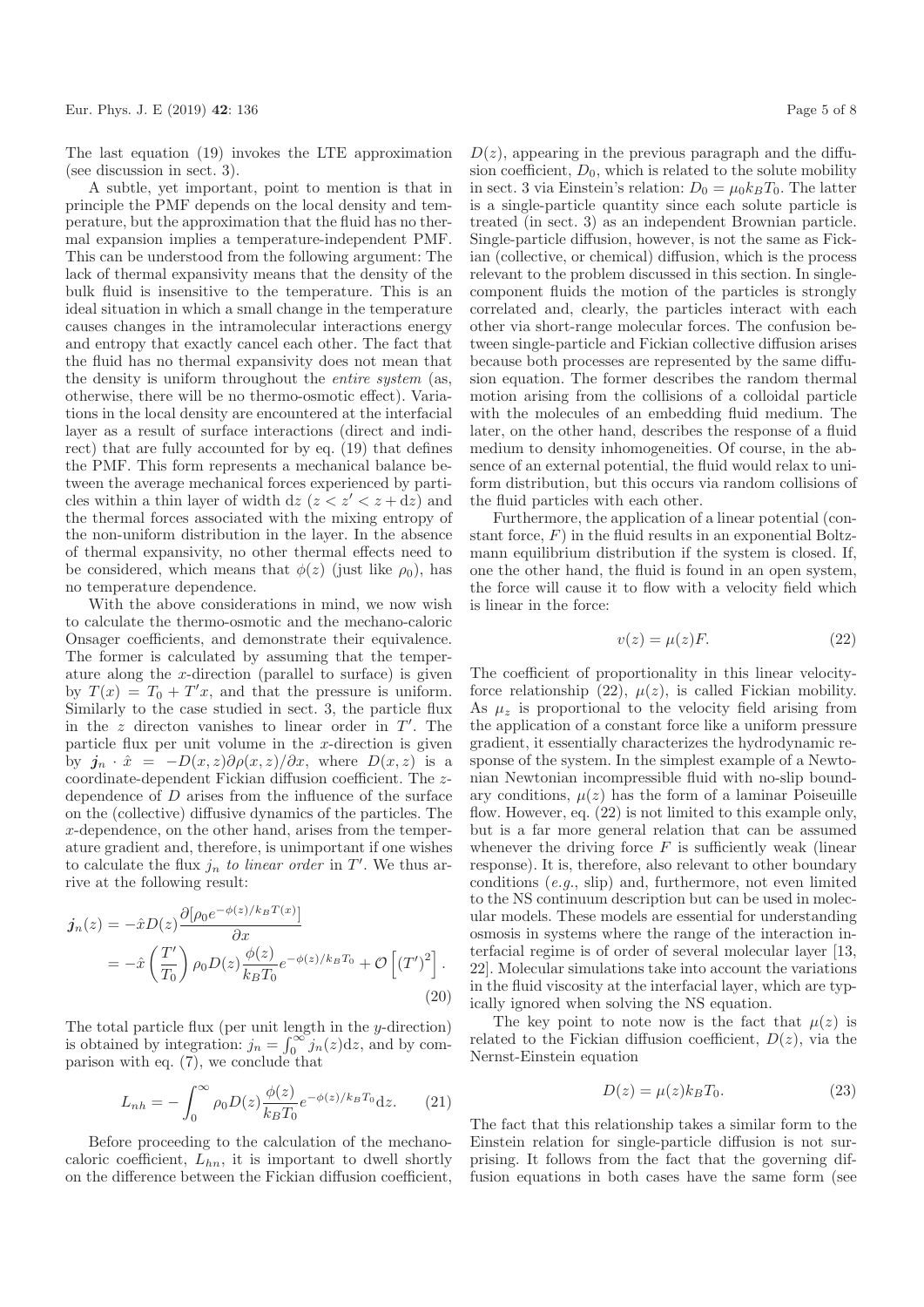The last equation (19) invokes the LTE approximation (see discussion in sect. 3).

A subtle, yet important, point to mention is that in principle the PMF depends on the local density and temperature, but the approximation that the fluid has no thermal expansion implies a temperature-independent PMF. This can be understood from the following argument: The lack of thermal expansivity means that the density of the bulk fluid is insensitive to the temperature. This is an ideal situation in which a small change in the temperature causes changes in the intramolecular interactions energy and entropy that exactly cancel each other. The fact that the fluid has no thermal expansivity does not mean that the density is uniform throughout the entire system (as, otherwise, there will be no thermo-osmotic effect). Variations in the local density are encountered at the interfacial layer as a result of surface interactions (direct and indirect) that are fully accounted for by eq. (19) that defines the PMF. This form represents a mechanical balance between the average mechanical forces experienced by particles within a thin layer of width dz  $(z < z' < z + dz)$  and the thermal forces associated with the mixing entropy of the non-uniform distribution in the layer. In the absence of thermal expansivity, no other thermal effects need to be considered, which means that  $\phi(z)$  (just like  $\rho_0$ ), has no temperature dependence.

With the above considerations in mind, we now wish to calculate the thermo-osmotic and the mechano-caloric Onsager coefficients, and demonstrate their equivalence. The former is calculated by assuming that the temperature along the x-direction (parallel to surface) is given by  $T(x) = T_0 + T'x$ , and that the pressure is uniform. Similarly to the case studied in sect. 3, the particle flux in the  $z$  directon vanishes to linear order in  $T'$ . The particle flux per unit volume in the  $x$ -direction is given by  $j_n \cdot \hat{x} = -D(x, z)\partial \rho(x, z)/\partial x$ , where  $D(x, z)$  is a coordinate-dependent Fickian diffusion coefficient. The zdependence of D arises from the influence of the surface on the (collective) diffusive dynamics of the particles. The x-dependence, on the other hand, arises from the temperature gradient and, therefore, is unimportant if one wishes to calculate the flux  $j_n$  to linear order in T'. We thus arrive at the following result:

$$
\begin{split} \dot{\mathbf{j}}_{n}(z) &= -\hat{x}D(z)\frac{\partial[\rho_{0}e^{-\phi(z)/k_{B}T(x)}]}{\partial x} \\ &= -\hat{x}\left(\frac{T'}{T_{0}}\right)\rho_{0}D(z)\frac{\phi(z)}{k_{B}T_{0}}e^{-\phi(z)/k_{B}T_{0}} + \mathcal{O}\left[\left(T'\right)^{2}\right]. \end{split} \tag{20}
$$

The total particle flux (per unit length in the y-direction) is obtained by integration:  $j_n = \int_0^\infty j_n(z) dz$ , and by comparison with eq. (7), we conclude that

$$
L_{nh} = -\int_0^\infty \rho_0 D(z) \frac{\phi(z)}{k_B T_0} e^{-\phi(z)/k_B T_0} dz.
$$
 (21)

Before proceeding to the calculation of the mechanocaloric coefficient,  $L_{hn}$ , it is important to dwell shortly on the difference between the Fickian diffusion coefficient,  $D(z)$ , appearing in the previous paragraph and the diffusion coefficient,  $D_0$ , which is related to the solute mobility in sect. 3 via Einstein's relation:  $D_0 = \mu_0 k_B T_0$ . The latter is a single-particle quantity since each solute particle is treated (in sect. 3) as an independent Brownian particle. Single-particle diffusion, however, is not the same as Fickian (collective, or chemical) diffusion, which is the process relevant to the problem discussed in this section. In singlecomponent fluids the motion of the particles is strongly correlated and, clearly, the particles interact with each other via short-range molecular forces. The confusion between single-particle and Fickian collective diffusion arises because both processes are represented by the same diffusion equation. The former describes the random thermal motion arising from the collisions of a colloidal particle with the molecules of an embedding fluid medium. The later, on the other hand, describes the response of a fluid medium to density inhomogeneities. Of course, in the absence of an external potential, the fluid would relax to uniform distribution, but this occurs via random collisions of the fluid particles with each other.

Furthermore, the application of a linear potential (constant force,  $F$ ) in the fluid results in an exponential Boltzmann equilibrium distribution if the system is closed. If, one the other hand, the fluid is found in an open system, the force will cause it to flow with a velocity field which is linear in the force:

$$
v(z) = \mu(z)F.
$$
 (22)

The coefficient of proportionality in this linear velocityforce relationship (22),  $\mu(z)$ , is called Fickian mobility. As  $\mu_{\gamma}$  is proportional to the velocity field arising from the application of a constant force like a uniform pressure gradient, it essentially characterizes the hydrodynamic response of the system. In the simplest example of a Newtonian Newtonian incompressible fluid with no-slip boundary conditions,  $\mu(z)$  has the form of a laminar Poiseuille flow. However, eq.  $(22)$  is not limited to this example only, but is a far more general relation that can be assumed whenever the driving force  $F$  is sufficiently weak (linear response). It is, therefore, also relevant to other boundary conditions (e.g., slip) and, furthermore, not even limited to the NS continuum description but can be used in molecular models. These models are essential for understanding osmosis in systems where the range of the interaction interfacial regime is of order of several molecular layer [13, 22]. Molecular simulations take into account the variations in the fluid viscosity at the interfacial layer, which are typically ignored when solving the NS equation.

The key point to note now is the fact that  $\mu(z)$  is related to the Fickian diffusion coefficient,  $D(z)$ , via the Nernst-Einstein equation

$$
D(z) = \mu(z)k_B T_0. \tag{23}
$$

The fact that this relationship takes a similar form to the Einstein relation for single-particle diffusion is not surprising. It follows from the fact that the governing diffusion equations in both cases have the same form (see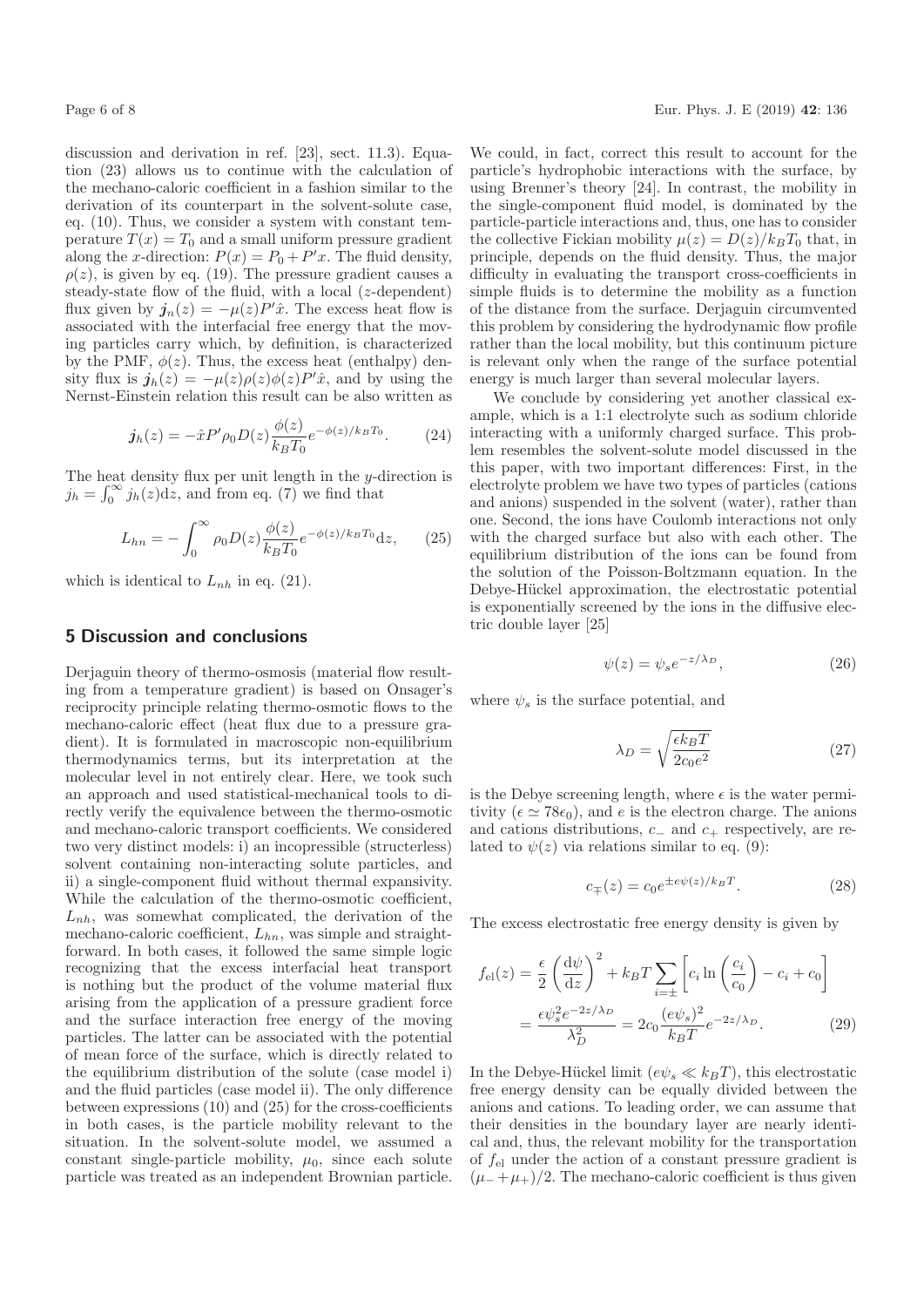discussion and derivation in ref. [23], sect. 11.3). Equation (23) allows us to continue with the calculation of the mechano-caloric coefficient in a fashion similar to the derivation of its counterpart in the solvent-solute case, eq. (10). Thus, we consider a system with constant temperature  $T(x) = T_0$  and a small uniform pressure gradient along the x-direction:  $P(x) = P_0 + P'x$ . The fluid density,  $\rho(z)$ , is given by eq. (19). The pressure gradient causes a steady-state flow of the fluid, with a local (z-dependent) flux given by  $\mathbf{j}_n(z) = -\mu(z)P'\hat{x}$ . The excess heat flow is associated with the interfacial free energy that the moving particles carry which, by definition, is characterized by the PMF,  $\phi(z)$ . Thus, the excess heat (enthalpy) density flux is  $\mathbf{j}_h(z) = -\mu(z)\rho(z)\phi(z)P'x$ , and by using the Nernst-Einstein relation this result can be also written as

$$
\dot{\mathbf{j}}_h(z) = -\hat{x}P'\rho_0 D(z)\frac{\phi(z)}{k_B T_0} e^{-\phi(z)/k_B T_0}.\tag{24}
$$

The heat density flux per unit length in the  $y$ -direction is  $j_h = \int_0^\infty j_h(z) dz$ , and from eq. (7) we find that

$$
L_{hn} = -\int_0^\infty \rho_0 D(z) \frac{\phi(z)}{k_B T_0} e^{-\phi(z)/k_B T_0} dz, \qquad (25)
$$

which is identical to  $L_{nh}$  in eq. (21).

#### 5 Discussion and conclusions

Deriaguin theory of thermo-osmosis (material flow resulting from a temperature gradient) is based on Onsager's reciprocity principle relating thermo-osmotic flows to the mechano-caloric effect (heat flux due to a pressure gradient). It is formulated in macroscopic non-equilibrium thermodynamics terms, but its interpretation at the molecular level in not entirely clear. Here, we took such an approach and used statistical-mechanical tools to directly verify the equivalence between the thermo-osmotic and mechano-caloric transport coefficients. We considered two very distinct models: i) an incopressible (structerless) solvent containing non-interacting solute particles, and ii) a single-component fluid without thermal expansivity. While the calculation of the thermo-osmotic coefficient,  $L_{nh}$ , was somewhat complicated, the derivation of the mechano-caloric coefficient,  $L_{hn}$ , was simple and straightforward. In both cases, it followed the same simple logic recognizing that the excess interfacial heat transport is nothing but the product of the volume material flux arising from the application of a pressure gradient force and the surface interaction free energy of the moving particles. The latter can be associated with the potential of mean force of the surface, which is directly related to the equilibrium distribution of the solute (case model i) and the fluid particles (case model ii). The only difference between expressions (10) and (25) for the cross-coefficients in both cases, is the particle mobility relevant to the situation. In the solvent-solute model, we assumed a constant single-particle mobility,  $\mu_0$ , since each solute particle was treated as an independent Brownian particle. We could, in fact, correct this result to account for the particle's hydrophobic interactions with the surface, by using Brenner's theory [24]. In contrast, the mobility in the single-component fluid model, is dominated by the particle-particle interactions and, thus, one has to consider the collective Fickian mobility  $\mu(z) = D(z)/k_BT_0$  that, in principle, depends on the fluid density. Thus, the major difficulty in evaluating the transport cross-coefficients in simple fluids is to determine the mobility as a function of the distance from the surface. Derjaguin circumvented this problem by considering the hydrodynamic flow profile rather than the local mobility, but this continuum picture is relevant only when the range of the surface potential energy is much larger than several molecular layers.

We conclude by considering yet another classical example, which is a 1:1 electrolyte such as sodium chloride interacting with a uniformly charged surface. This problem resembles the solvent-solute model discussed in the this paper, with two important differences: First, in the electrolyte problem we have two types of particles (cations and anions) suspended in the solvent (water), rather than one. Second, the ions have Coulomb interactions not only with the charged surface but also with each other. The equilibrium distribution of the ions can be found from the solution of the Poisson-Boltzmann equation. In the Debye-Hückel approximation, the electrostatic potential is exponentially screened by the ions in the diffusive electric double layer [25]

$$
\psi(z) = \psi_s e^{-z/\lambda_D},\tag{26}
$$

where  $\psi_s$  is the surface potential, and

$$
\lambda_D = \sqrt{\frac{\epsilon k_B T}{2c_0 e^2}}\tag{27}
$$

is the Debye screening length, where  $\epsilon$  is the water permitivity ( $\epsilon \simeq 78\epsilon_0$ ), and e is the electron charge. The anions and cations distributions,  $c_-\$  and  $c_+$  respectively, are related to  $\psi(z)$  via relations similar to eq. (9):

$$
c_{\mp}(z) = c_0 e^{\pm e\psi(z)/k_B T}.
$$
 (28)

The excess electrostatic free energy density is given by

$$
f_{\rm el}(z) = \frac{\epsilon}{2} \left(\frac{\mathrm{d}\psi}{\mathrm{d}z}\right)^2 + k_B T \sum_{i=\pm} \left[c_i \ln\left(\frac{c_i}{c_0}\right) - c_i + c_0\right]
$$

$$
= \frac{\epsilon \psi_s^2 e^{-2z/\lambda_D}}{\lambda_D^2} = 2c_0 \frac{(e\psi_s)^2}{k_B T} e^{-2z/\lambda_D}.
$$
 (29)

In the Debye-Hückel limit  $(e\psi_s \ll k_BT)$ , this electrostatic free energy density can be equally divided between the anions and cations. To leading order, we can assume that their densities in the boundary layer are nearly identical and, thus, the relevant mobility for the transportation of  $f_{el}$  under the action of a constant pressure gradient is  $(\mu_- + \mu_+)/2$ . The mechano-caloric coefficient is thus given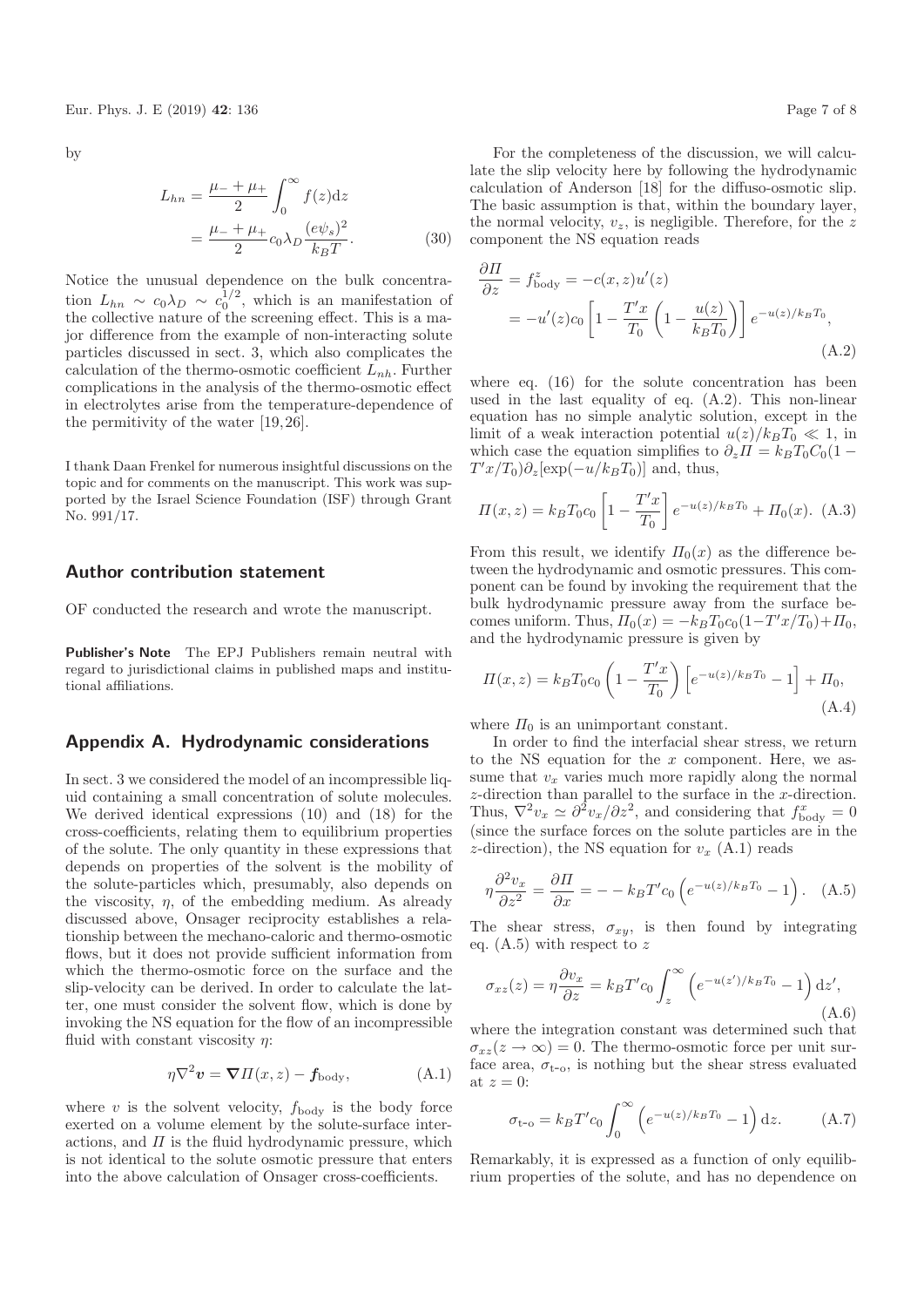by

$$
L_{hn} = \frac{\mu_{-} + \mu_{+}}{2} \int_{0}^{\infty} f(z) dz
$$
  
= 
$$
\frac{\mu_{-} + \mu_{+}}{2} c_{0} \lambda_{D} \frac{(e\psi_{s})^{2}}{k_{B}T}.
$$
 (30)

Notice the unusual dependence on the bulk concentration  $L_{hn} \sim c_0 \lambda_D \sim c_0^{1/2}$ , which is an manifestation of the collective nature of the screening effect. This is a major difference from the example of non-interacting solute particles discussed in sect. 3, which also complicates the calculation of the thermo-osmotic coefficient  $L_{nb}$ . Further complications in the analysis of the thermo-osmotic effect in electrolytes arise from the temperature-dependence of the permitivity of the water [19, 26].

I thank Daan Frenkel for numerous insightful discussions on the topic and for comments on the manuscript. This work was supported by the Israel Science Foundation (ISF) through Grant No. 991/17.

#### Author contribution statement

OF conducted the research and wrote the manuscript.

Publisher's Note The EPJ Publishers remain neutral with regard to jurisdictional claims in published maps and institutional affiliations.

#### Appendix A. Hydrodynamic considerations

In sect. 3 we considered the model of an incompressible liquid containing a small concentration of solute molecules. We derived identical expressions (10) and (18) for the cross-coefficients, relating them to equilibrium properties of the solute. The only quantity in these expressions that depends on properties of the solvent is the mobility of the solute-particles which, presumably, also depends on the viscosity,  $\eta$ , of the embedding medium. As already discussed above, Onsager reciprocity establishes a relationship between the mechano-caloric and thermo-osmotic flows, but it does not provide sufficient information from which the thermo-osmotic force on the surface and the slip-velocity can be derived. In order to calculate the latter, one must consider the solvent flow, which is done by invoking the NS equation for the flow of an incompressible fluid with constant viscosity  $\eta$ :

$$
\eta \nabla^2 \mathbf{v} = \nabla \Pi(x, z) - \mathbf{f}_{\text{body}},\tag{A.1}
$$

where  $v$  is the solvent velocity,  $f_{\text{body}}$  is the body force exerted on a volume element by the solute-surface interactions, and  $\Pi$  is the fluid hydrodynamic pressure, which is not identical to the solute osmotic pressure that enters into the above calculation of Onsager cross-coefficients.

For the completeness of the discussion, we will calculate the slip velocity here by following the hydrodynamic calculation of Anderson [18] for the diffuso-osmotic slip. The basic assumption is that, within the boundary layer, the normal velocity,  $v_z$ , is negligible. Therefore, for the z component the NS equation reads

$$
\frac{\partial \Pi}{\partial z} = f_{\text{body}}^z = -c(x, z)u'(z)
$$

$$
= -u'(z)c_0 \left[ 1 - \frac{T'x}{T_0} \left( 1 - \frac{u(z)}{k_B T_0} \right) \right] e^{-u(z)/k_B T_0},
$$
(A.2)

where eq. (16) for the solute concentration has been used in the last equality of eq. (A.2). This non-linear equation has no simple analytic solution, except in the limit of a weak interaction potential  $u(z)/k_BT_0 \ll 1$ , in which case the equation simplifies to  $\partial_z \Pi = k_B T_0 C_0 (1 T'x/T_0)\partial_z[\exp(-u/k_BT_0)]$  and, thus,

$$
\Pi(x,z) = k_B T_0 c_0 \left[ 1 - \frac{T'x}{T_0} \right] e^{-u(z)/k_B T_0} + \Pi_0(x). \tag{A.3}
$$

From this result, we identify  $\Pi_0(x)$  as the difference between the hydrodynamic and osmotic pressures. This component can be found by invoking the requirement that the bulk hydrodynamic pressure away from the surface becomes uniform. Thus,  $\Pi_0(x) = -k_B T_0 c_0 (1 - T' x / T_0) + \Pi_0$ , and the hydrodynamic pressure is given by

$$
\Pi(x,z) = k_B T_0 c_0 \left( 1 - \frac{T'x}{T_0} \right) \left[ e^{-u(z)/k_B T_0} - 1 \right] + \Pi_0,
$$
\n(A.4)

where  $\Pi_0$  is an unimportant constant.

In order to find the interfacial shear stress, we return to the NS equation for the  $x$  component. Here, we assume that  $v_x$  varies much more rapidly along the normal z-direction than parallel to the surface in the x-direction. Thus,  $\nabla^2 v_x \simeq \partial^2 v_x / \partial z^2$ , and considering that  $f_{\text{body}}^x = 0$ (since the surface forces on the solute particles are in the z-direction), the NS equation for  $v_x$  (A.1) reads

$$
\eta \frac{\partial^2 v_x}{\partial z^2} = \frac{\partial \Pi}{\partial x} = -k_B T' c_0 \left( e^{-u(z)/k_B T_0} - 1 \right). \quad (A.5)
$$

The shear stress,  $\sigma_{xy}$ , is then found by integrating eq.  $(A.5)$  with respect to z

$$
\sigma_{xz}(z) = \eta \frac{\partial v_x}{\partial z} = k_B T' c_0 \int_z^{\infty} \left( e^{-u(z')/k_B T_0} - 1 \right) dz',
$$
\n(A.6)

where the integration constant was determined such that  $\sigma_{xz}(z \to \infty) = 0$ . The thermo-osmotic force per unit surface area,  $\sigma_{t-o}$ , is nothing but the shear stress evaluated at  $z=0$ :

$$
\sigma_{t-\text{o}} = k_B T' c_0 \int_0^\infty \left( e^{-u(z)/k_B T_0} - 1 \right) dz. \tag{A.7}
$$

Remarkably, it is expressed as a function of only equilibrium properties of the solute, and has no dependence on